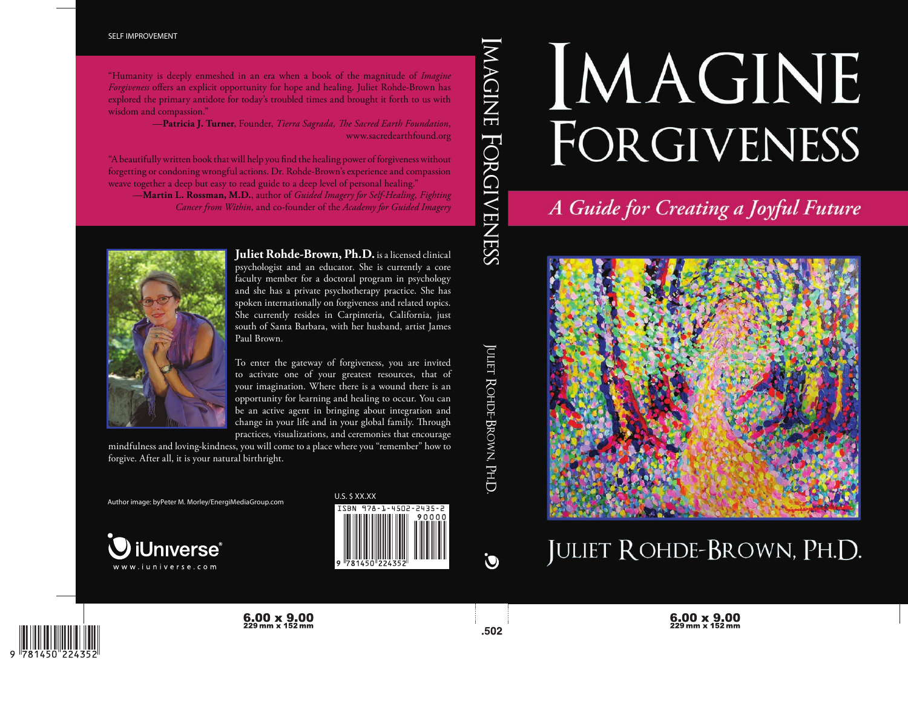# IMAGINE FORGIVENESS

A Guide for Creating a Joyful Future



# JULIET ROHDE-BROWN, PH.D.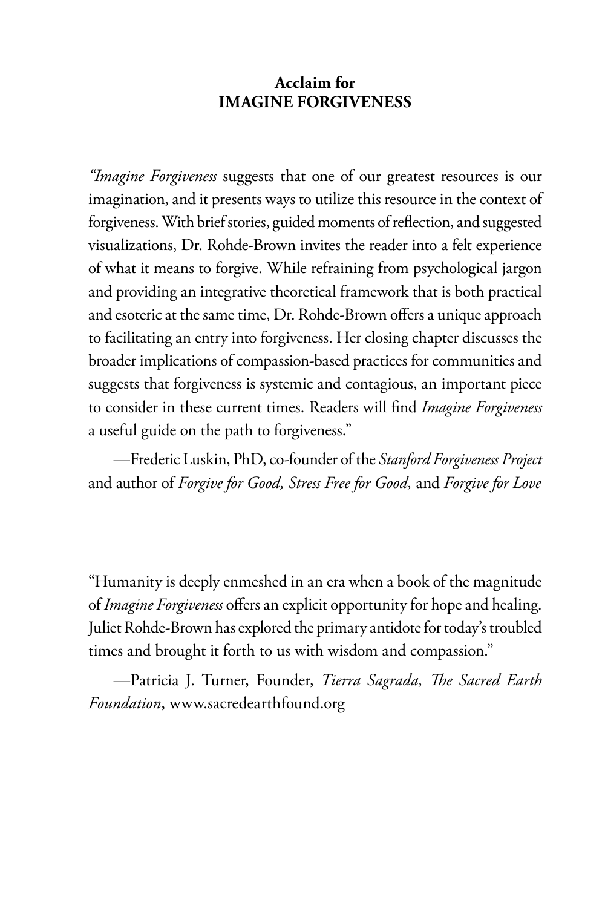#### **Acclaim for IMAGINE FORGIVENESS**

*"Imagine Forgiveness* suggests that one of our greatest resources is our imagination, and it presents ways to utilize this resource in the context of forgiveness. With brief stories, guided moments of reflection, and suggested visualizations, Dr. Rohde-Brown invites the reader into a felt experience of what it means to forgive. While refraining from psychological jargon and providing an integrative theoretical framework that is both practical and esoteric at the same time, Dr. Rohde-Brown offers a unique approach to facilitating an entry into forgiveness. Her closing chapter discusses the broader implications of compassion-based practices for communities and suggests that forgiveness is systemic and contagious, an important piece to consider in these current times. Readers will find *Imagine Forgiveness* a useful guide on the path to forgiveness."

—Frederic Luskin, PhD, co-founder of the *Stanford Forgiveness Project* and author of *Forgive for Good, Stress Free for Good,* and *Forgive for Love*

"Humanity is deeply enmeshed in an era when a book of the magnitude of *Imagine Forgiveness* offers an explicit opportunity for hope and healing. Juliet Rohde-Brown has explored the primary antidote for today's troubled times and brought it forth to us with wisdom and compassion."

—Patricia J. Turner, Founder, *Tierra Sagrada*, *The Sacred Earth Foundation*, www.sacredearthfound.org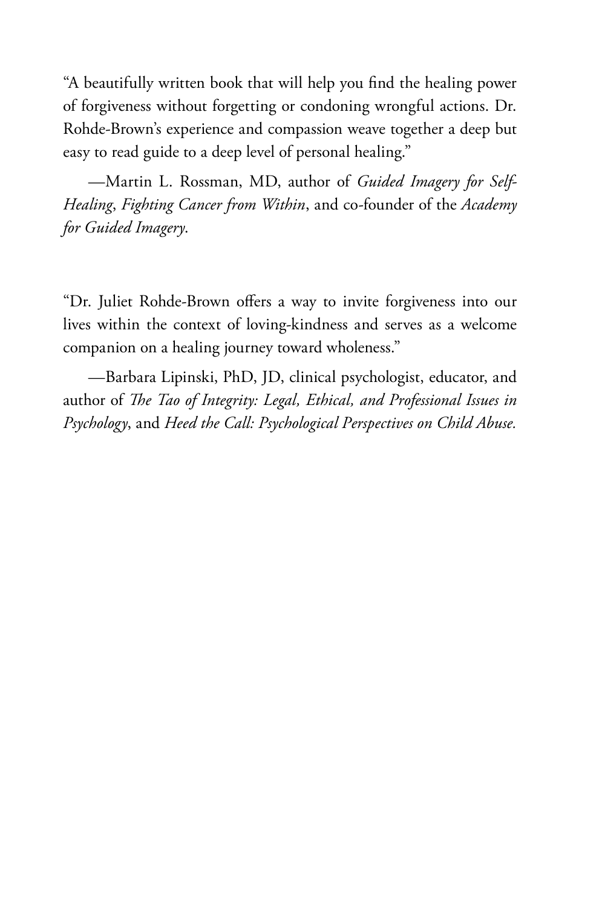"A beautifully written book that will help you find the healing power of forgiveness without forgetting or condoning wrongful actions. Dr. Rohde-Brown's experience and compassion weave together a deep but easy to read guide to a deep level of personal healing."

—Martin L. Rossman, MD, author of *Guided Imagery for Self-Healing*, *Fighting Cancer from Within*, and co-founder of the *Academy for Guided Imagery*.

"Dr. Juliet Rohde-Brown offers a way to invite forgiveness into our lives within the context of loving-kindness and serves as a welcome companion on a healing journey toward wholeness."

—Barbara Lipinski, PhD, JD, clinical psychologist, educator, and author of *The Tao of Integrity: Legal, Ethical, and Professional Issues in Psychology*, and *Heed the Call: Psychological Perspectives on Child Abuse.*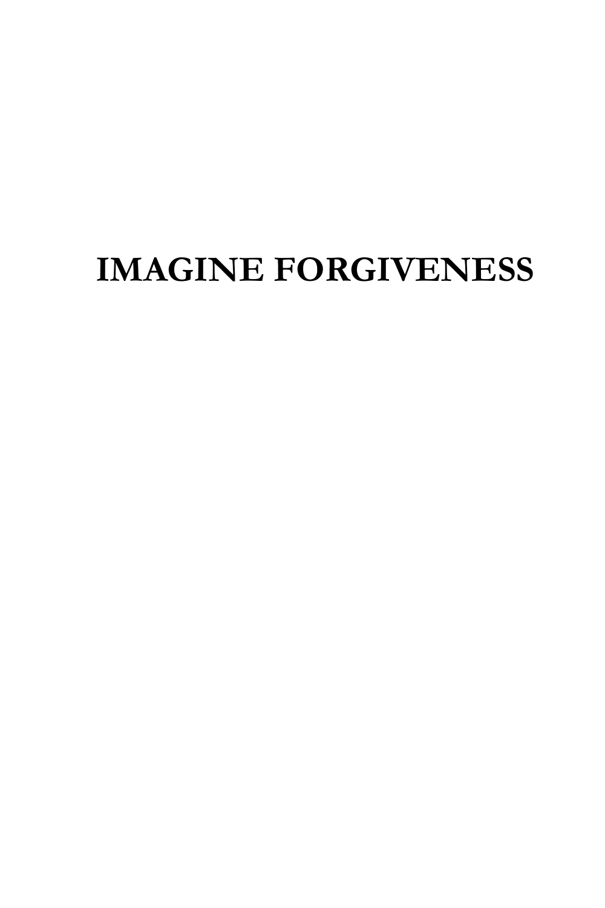# **IMAGINE FORGIVENESS**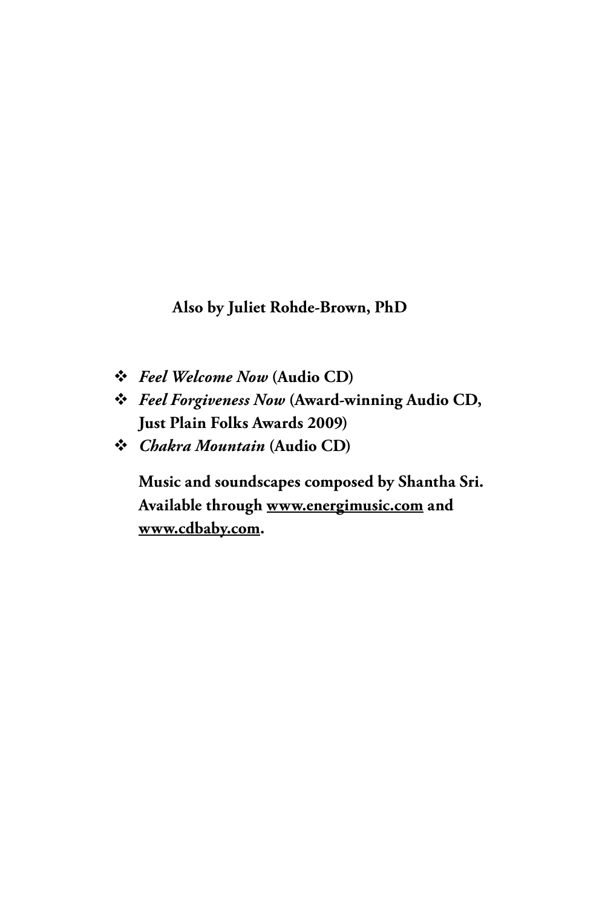**Also by Juliet Rohde-Brown, PhD**

- *Feel Welcome Now* **(Audio CD)**
- *Feel Forgiveness Now* **(Award-winning Audio CD, Just Plain Folks Awards 2009)**
- *Chakra Mountain* **(Audio CD)**

**Music and soundscapes composed by Shantha Sri. Available through www.energimusic.com and www.cdbaby.com.**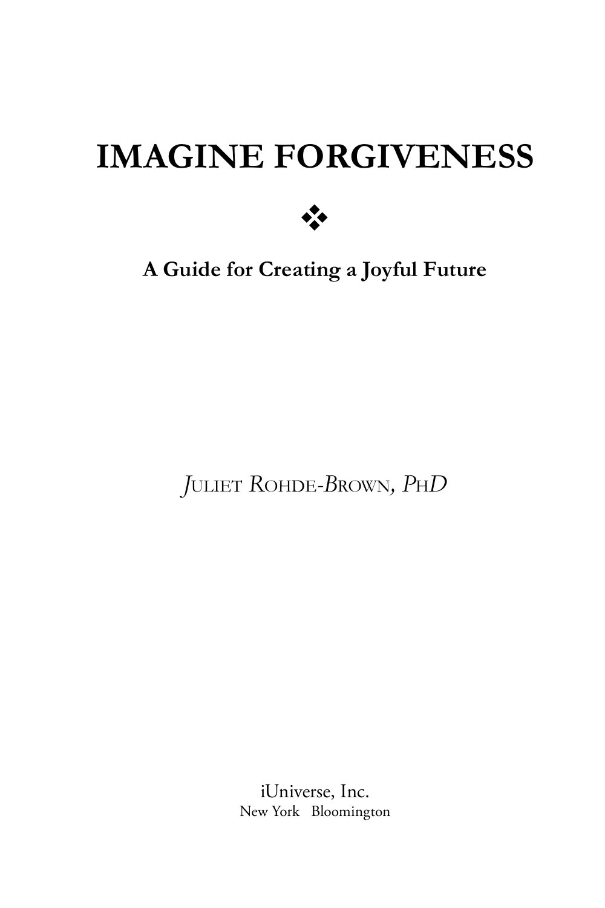# **IMAGINE FORGIVENESS**



**A Guide for Creating a Joyful Future**

*J*ULIET *R*OHDE*-B*ROWN*, P*H*D*

iUniverse, Inc. New York Bloomington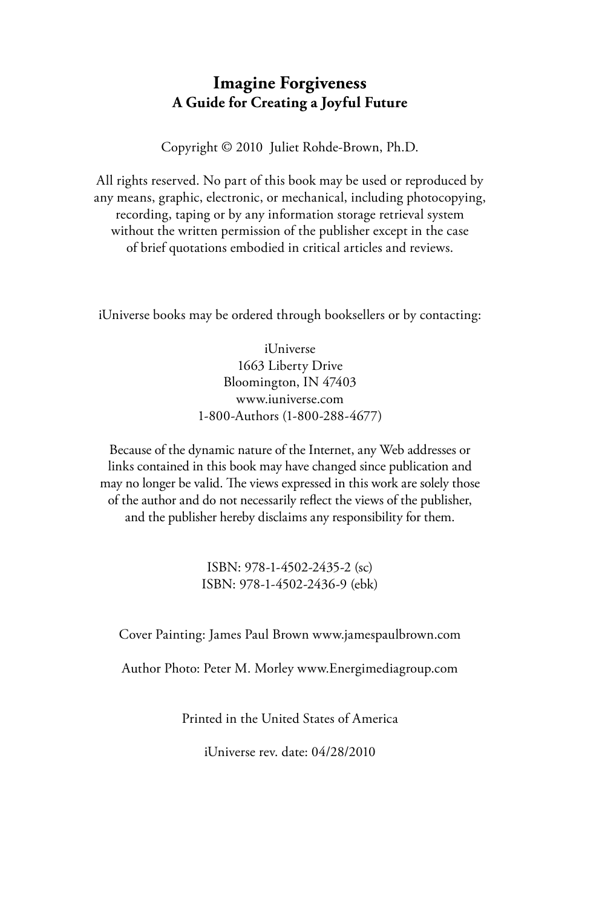#### **Imagine Forgiveness A Guide for Creating a Joyful Future**

Copyright © 2010 Juliet Rohde-Brown, Ph.D.

All rights reserved. No part of this book may be used or reproduced by any means, graphic, electronic, or mechanical, including photocopying, recording, taping or by any information storage retrieval system without the written permission of the publisher except in the case of brief quotations embodied in critical articles and reviews.

iUniverse books may be ordered through booksellers or by contacting:

iUniverse 1663 Liberty Drive Bloomington, IN 47403 www.iuniverse.com 1-800-Authors (1-800-288-4677)

Because of the dynamic nature of the Internet, any Web addresses or links contained in this book may have changed since publication and may no longer be valid. The views expressed in this work are solely those of the author and do not necessarily reflect the views of the publisher, and the publisher hereby disclaims any responsibility for them.

> ISBN: 978-1-4502-2435-2 (sc) ISBN: 978-1-4502-2436-9 (ebk)

Cover Painting: James Paul Brown www.jamespaulbrown.com

Author Photo: Peter M. Morley www.Energimediagroup.com

Printed in the United States of America

iUniverse rev. date: 04/28/2010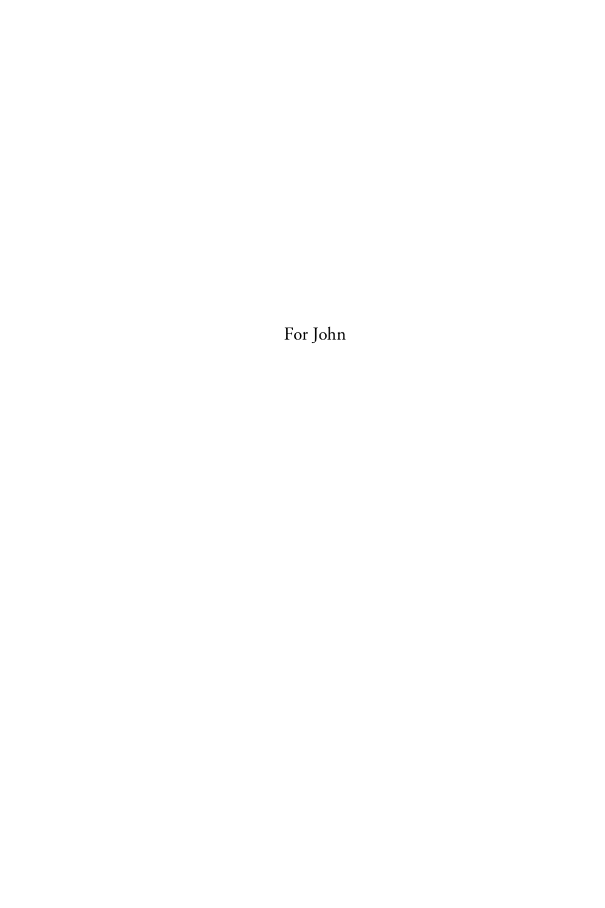For John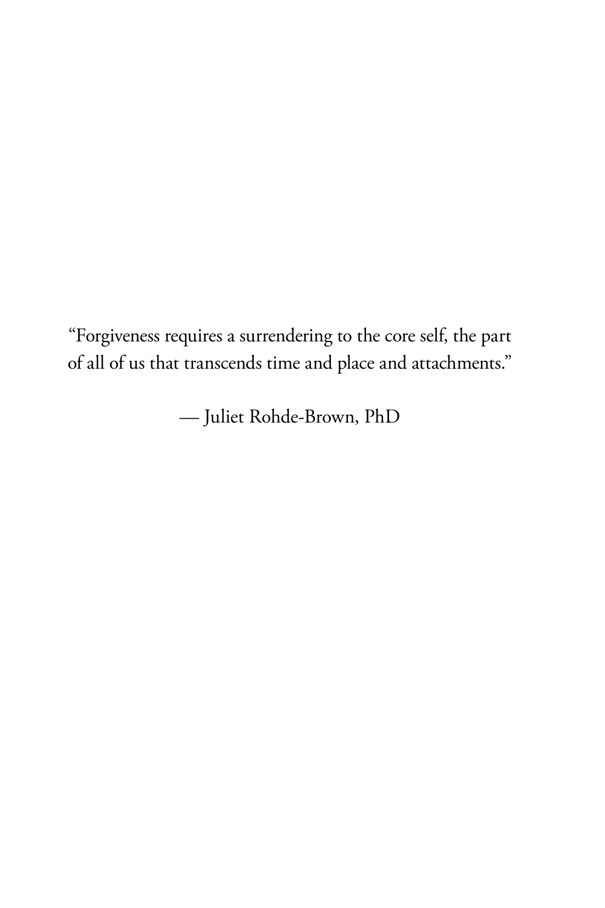"Forgiveness requires a surrendering to the core self, the part of all of us that transcends time and place and attachments."

— Juliet Rohde-Brown, PhD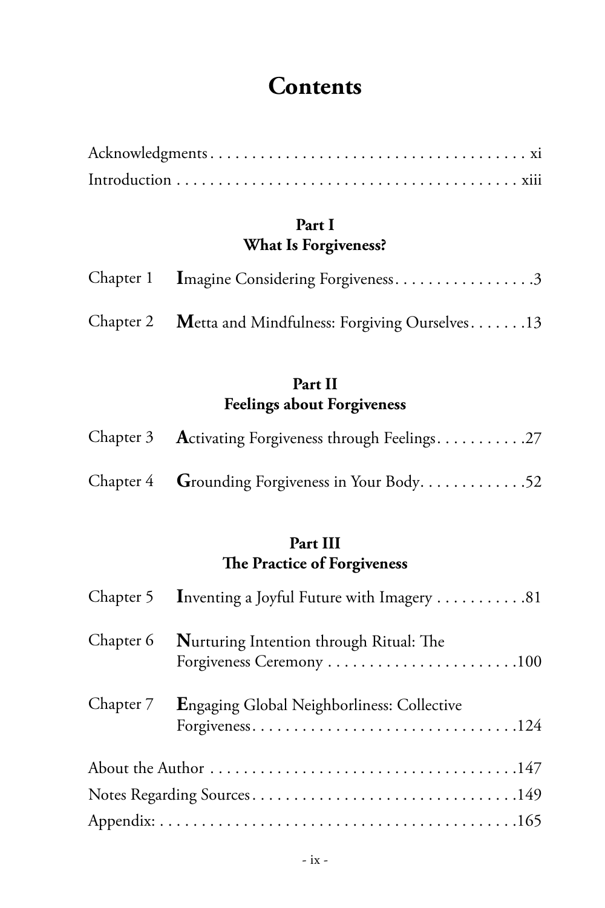## **Contents**

#### **Part I What Is Forgiveness?**

| Chapter 1 Imagine Considering Forgiveness3             |
|--------------------------------------------------------|
| Chapter 2 Metta and Mindfulness: Forgiving Ourselves13 |

#### **Part II Feelings about Forgiveness**

| Chapter 3 Activating Forgiveness through Feelings27 |
|-----------------------------------------------------|
| Chapter 4 Grounding Forgiveness in Your Body52      |

#### **Part III The Practice of Forgiveness**

| Chapter 5 Inventing a Joyful Future with Imagery 81                           |
|-------------------------------------------------------------------------------|
| Chapter 6 Nurturing Intention through Ritual: The<br>Forgiveness Ceremony 100 |
| Chapter 7 Engaging Global Neighborliness: Collective                          |
|                                                                               |
|                                                                               |
|                                                                               |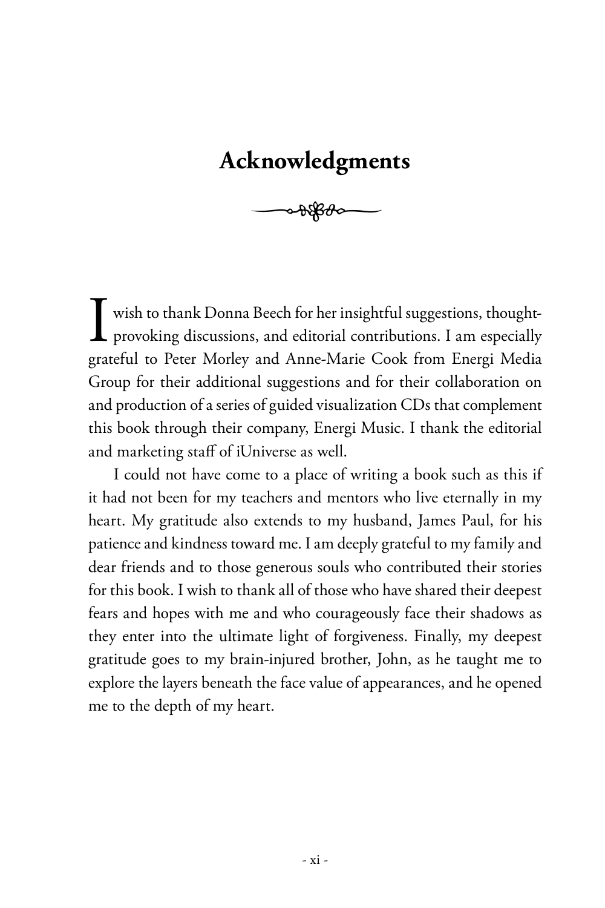## **Acknowledgments**

 $\rightarrow\frac{1}{2}$ 

I wish to thank Donna Beech for her insightful suggestions, thought-<br>provoking discussions, and editorial contributions. I am especially provoking discussions, and editorial contributions. I am especially grateful to Peter Morley and Anne-Marie Cook from Energi Media Group for their additional suggestions and for their collaboration on and production of a series of guided visualization CDs that complement this book through their company, Energi Music. I thank the editorial and marketing staff of iUniverse as well.

I could not have come to a place of writing a book such as this if it had not been for my teachers and mentors who live eternally in my heart. My gratitude also extends to my husband, James Paul, for his patience and kindness toward me. I am deeply grateful to my family and dear friends and to those generous souls who contributed their stories for this book. I wish to thank all of those who have shared their deepest fears and hopes with me and who courageously face their shadows as they enter into the ultimate light of forgiveness. Finally, my deepest gratitude goes to my brain-injured brother, John, as he taught me to explore the layers beneath the face value of appearances, and he opened me to the depth of my heart.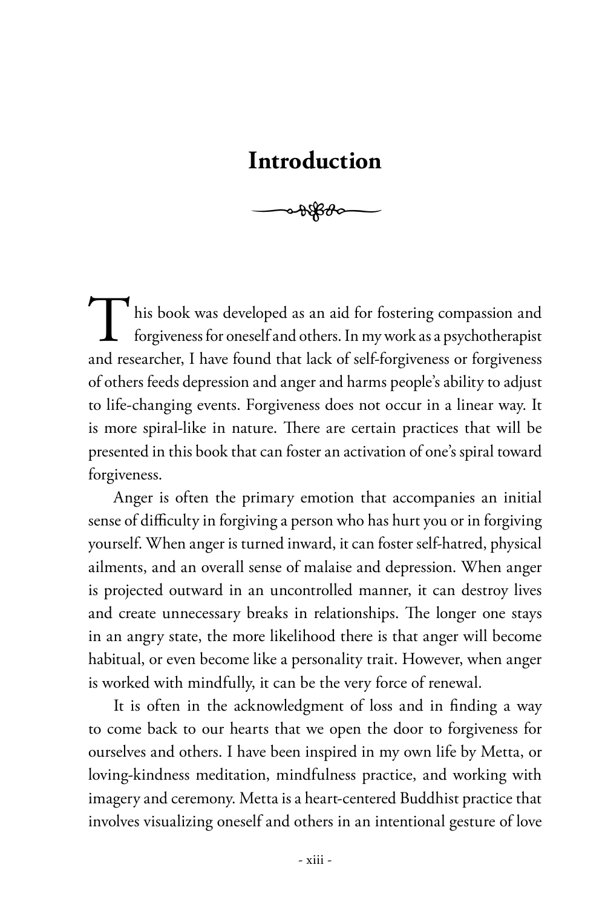## **Introduction**

 $\rightarrow\frac{1}{2}$ 

his book was developed as an aid for fostering compassion and forgiveness for oneself and others. In my work as a psychotherapist and researcher, I have found that lack of self-forgiveness or forgiveness of others feeds depression and anger and harms people's ability to adjust to life-changing events. Forgiveness does not occur in a linear way. It is more spiral-like in nature. There are certain practices that will be presented in this book that can foster an activation of one's spiral toward forgiveness.

Anger is often the primary emotion that accompanies an initial sense of difficulty in forgiving a person who has hurt you or in forgiving yourself. When anger is turned inward, it can foster self-hatred, physical ailments, and an overall sense of malaise and depression. When anger is projected outward in an uncontrolled manner, it can destroy lives and create unnecessary breaks in relationships. The longer one stays in an angry state, the more likelihood there is that anger will become habitual, or even become like a personality trait. However, when anger is worked with mindfully, it can be the very force of renewal.

It is often in the acknowledgment of loss and in finding a way to come back to our hearts that we open the door to forgiveness for ourselves and others. I have been inspired in my own life by Metta, or loving-kindness meditation, mindfulness practice, and working with imagery and ceremony. Metta is a heart-centered Buddhist practice that involves visualizing oneself and others in an intentional gesture of love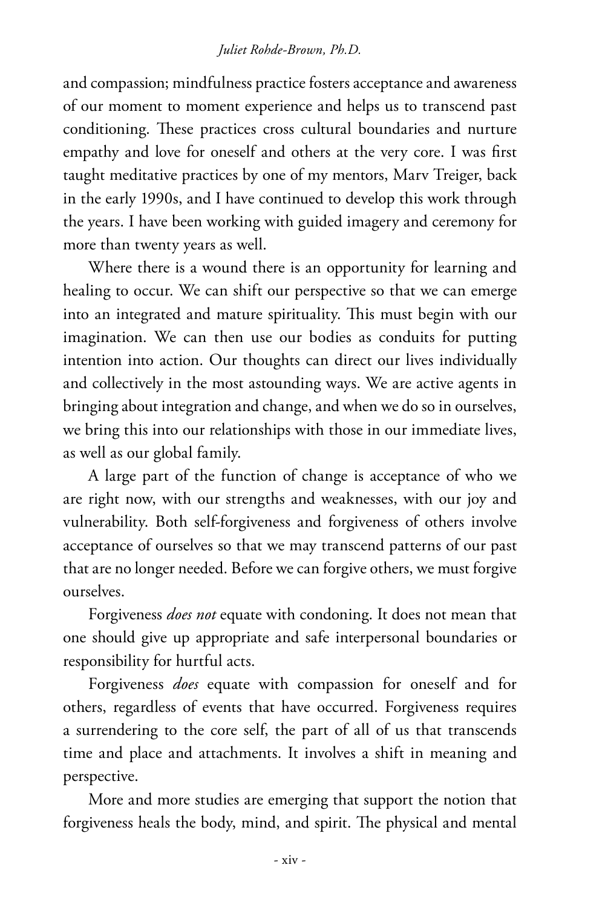#### *Juliet Rohde-Brown, Ph.D.*

and compassion; mindfulness practice fosters acceptance and awareness of our moment to moment experience and helps us to transcend past conditioning. These practices cross cultural boundaries and nurture empathy and love for oneself and others at the very core. I was first taught meditative practices by one of my mentors, Marv Treiger, back in the early 1990s, and I have continued to develop this work through the years. I have been working with guided imagery and ceremony for more than twenty years as well.

Where there is a wound there is an opportunity for learning and healing to occur. We can shift our perspective so that we can emerge into an integrated and mature spirituality. This must begin with our imagination. We can then use our bodies as conduits for putting intention into action. Our thoughts can direct our lives individually and collectively in the most astounding ways. We are active agents in bringing about integration and change, and when we do so in ourselves, we bring this into our relationships with those in our immediate lives, as well as our global family.

A large part of the function of change is acceptance of who we are right now, with our strengths and weaknesses, with our joy and vulnerability. Both self-forgiveness and forgiveness of others involve acceptance of ourselves so that we may transcend patterns of our past that are no longer needed. Before we can forgive others, we must forgive ourselves.

Forgiveness *does not* equate with condoning. It does not mean that one should give up appropriate and safe interpersonal boundaries or responsibility for hurtful acts.

Forgiveness *does* equate with compassion for oneself and for others, regardless of events that have occurred. Forgiveness requires a surrendering to the core self, the part of all of us that transcends time and place and attachments. It involves a shift in meaning and perspective.

More and more studies are emerging that support the notion that forgiveness heals the body, mind, and spirit. The physical and mental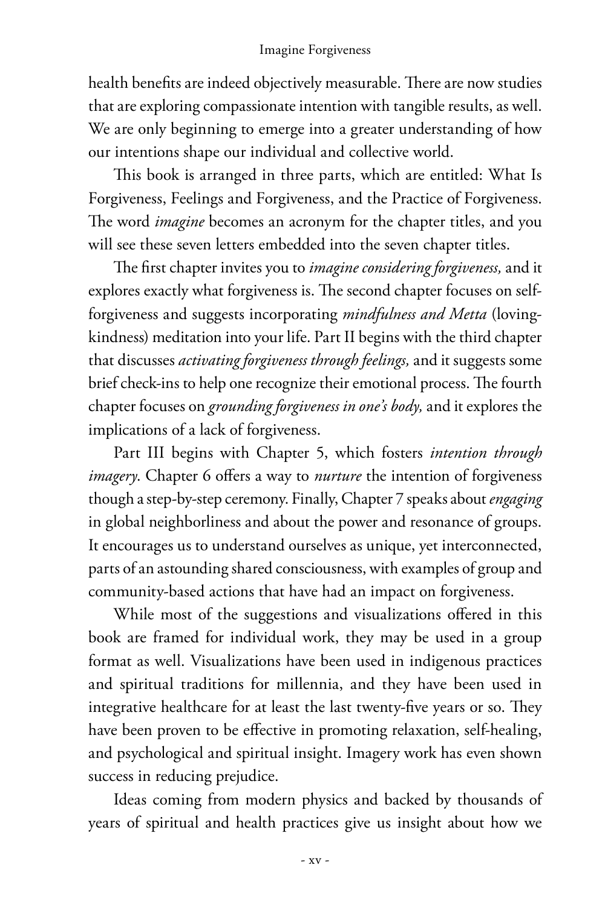health benefits are indeed objectively measurable. There are now studies that are exploring compassionate intention with tangible results, as well. We are only beginning to emerge into a greater understanding of how our intentions shape our individual and collective world.

This book is arranged in three parts, which are entitled: What Is Forgiveness, Feelings and Forgiveness, and the Practice of Forgiveness. The word *imagine* becomes an acronym for the chapter titles, and you will see these seven letters embedded into the seven chapter titles.

The first chapter invites you to *imagine considering forgiveness*, and it explores exactly what forgiveness is. The second chapter focuses on selfforgiveness and suggests incorporating *mindfulness and Metta* (lovingkindness) meditation into your life. Part II begins with the third chapter that discusses *activating forgiveness through feelings,* and it suggests some brief check-ins to help one recognize their emotional process. The fourth chapter focuses on *grounding forgiveness in one's body,* and it explores the implications of a lack of forgiveness.

Part III begins with Chapter 5, which fosters *intention through imagery*. Chapter 6 offers a way to *nurture* the intention of forgiveness though a step-by-step ceremony. Finally, Chapter 7 speaks about *engaging* in global neighborliness and about the power and resonance of groups. It encourages us to understand ourselves as unique, yet interconnected, parts of an astounding shared consciousness, with examples of group and community-based actions that have had an impact on forgiveness.

While most of the suggestions and visualizations offered in this book are framed for individual work, they may be used in a group format as well. Visualizations have been used in indigenous practices and spiritual traditions for millennia, and they have been used in integrative healthcare for at least the last twenty-five years or so. They have been proven to be effective in promoting relaxation, self-healing, and psychological and spiritual insight. Imagery work has even shown success in reducing prejudice.

Ideas coming from modern physics and backed by thousands of years of spiritual and health practices give us insight about how we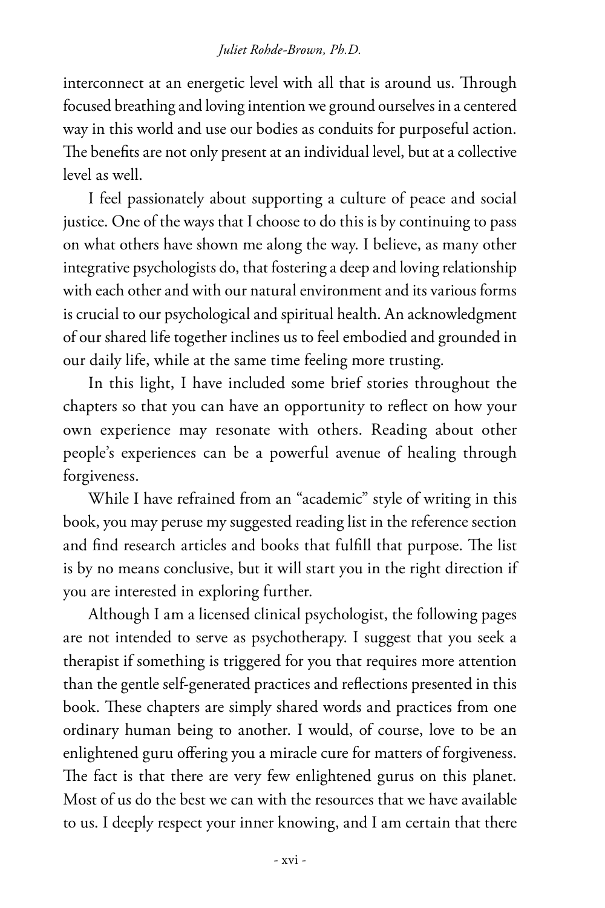interconnect at an energetic level with all that is around us. Through focused breathing and loving intention we ground ourselves in a centered way in this world and use our bodies as conduits for purposeful action. The benefits are not only present at an individual level, but at a collective level as well.

I feel passionately about supporting a culture of peace and social justice. One of the ways that I choose to do this is by continuing to pass on what others have shown me along the way. I believe, as many other integrative psychologists do, that fostering a deep and loving relationship with each other and with our natural environment and its various forms is crucial to our psychological and spiritual health. An acknowledgment of our shared life together inclines us to feel embodied and grounded in our daily life, while at the same time feeling more trusting.

In this light, I have included some brief stories throughout the chapters so that you can have an opportunity to reflect on how your own experience may resonate with others. Reading about other people's experiences can be a powerful avenue of healing through forgiveness.

While I have refrained from an "academic" style of writing in this book, you may peruse my suggested reading list in the reference section and find research articles and books that fulfill that purpose. The list is by no means conclusive, but it will start you in the right direction if you are interested in exploring further.

Although I am a licensed clinical psychologist, the following pages are not intended to serve as psychotherapy. I suggest that you seek a therapist if something is triggered for you that requires more attention than the gentle self-generated practices and reflections presented in this book. These chapters are simply shared words and practices from one ordinary human being to another. I would, of course, love to be an enlightened guru offering you a miracle cure for matters of forgiveness. The fact is that there are very few enlightened gurus on this planet. Most of us do the best we can with the resources that we have available to us. I deeply respect your inner knowing, and I am certain that there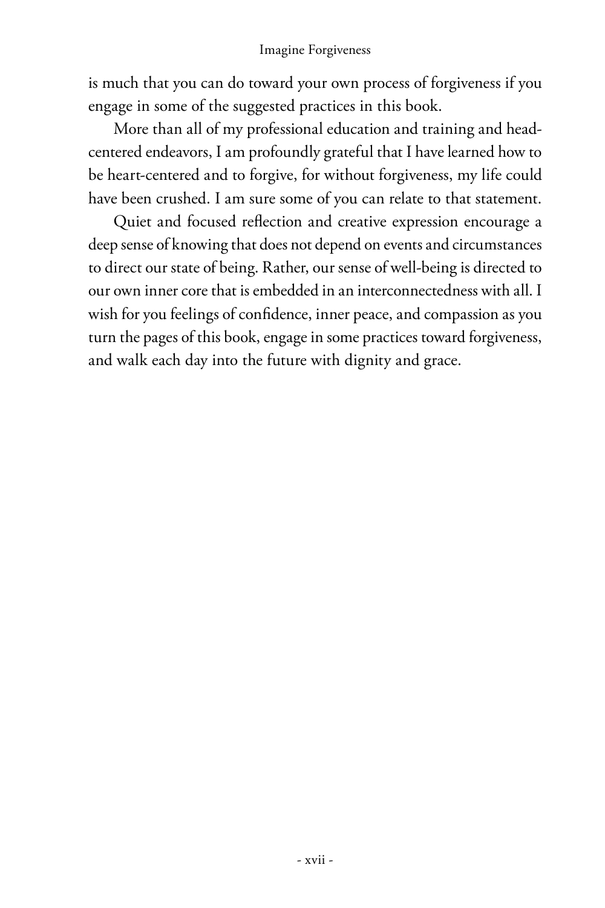is much that you can do toward your own process of forgiveness if you engage in some of the suggested practices in this book.

More than all of my professional education and training and headcentered endeavors, I am profoundly grateful that I have learned how to be heart-centered and to forgive, for without forgiveness, my life could have been crushed. I am sure some of you can relate to that statement.

Quiet and focused reflection and creative expression encourage a deep sense of knowing that does not depend on events and circumstances to direct our state of being. Rather, our sense of well-being is directed to our own inner core that is embedded in an interconnectedness with all. I wish for you feelings of confidence, inner peace, and compassion as you turn the pages of this book, engage in some practices toward forgiveness, and walk each day into the future with dignity and grace.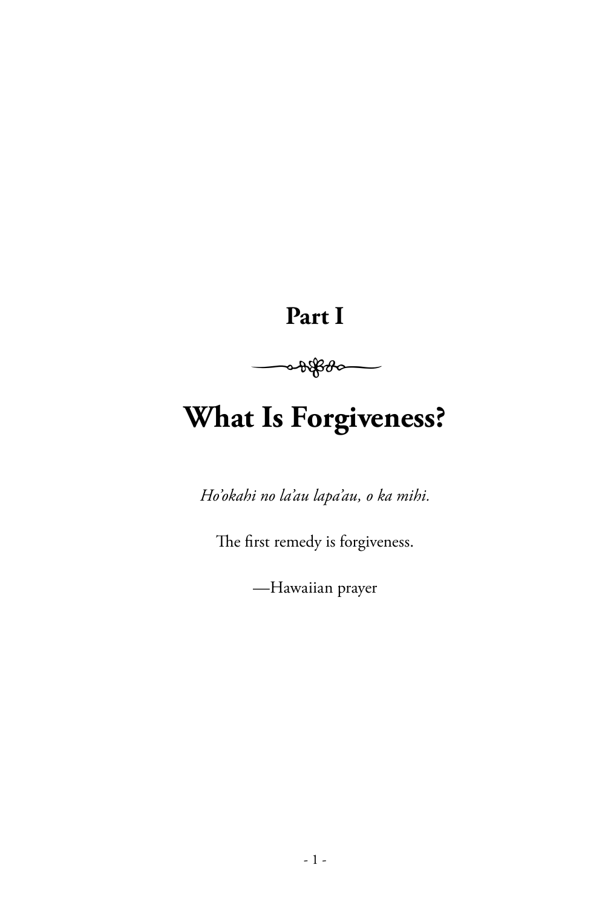# **Part I**



# **What Is Forgiveness?**

*Ho'okahi no la'au lapa'au, o ka mihi.*

The first remedy is forgiveness.

—Hawaiian prayer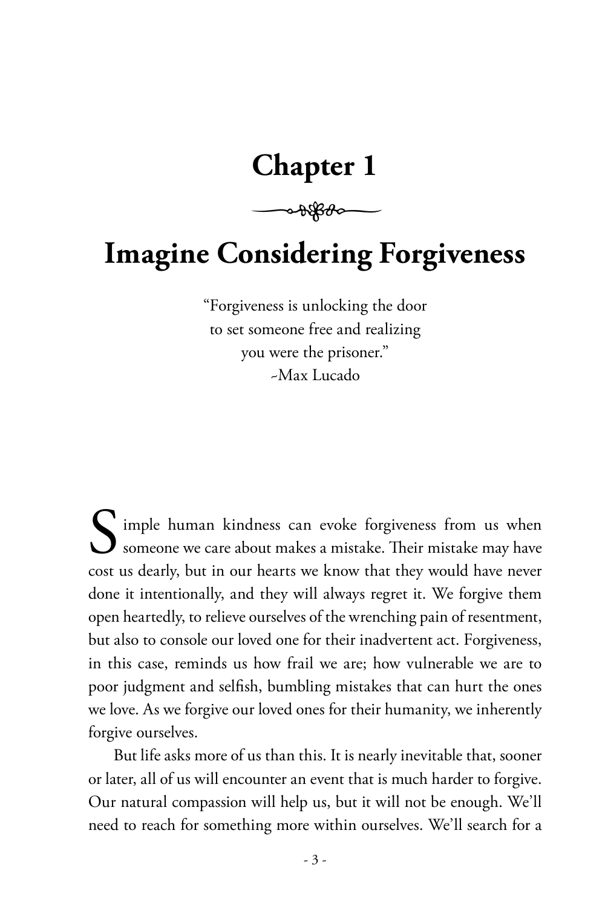## **Chapter 1**

 $\rightarrow$ 

# **Imagine Considering Forgiveness**

"Forgiveness is unlocking the door to set someone free and realizing you were the prisoner." ~Max Lucado

Simple human kindness can evoke forgiveness from us when someone we care about makes a mistake. Their mistake may have cost us dearly, but in our hearts we know that they would have never done it intentionally, and they will always regret it. We forgive them open heartedly, to relieve ourselves of the wrenching pain of resentment, but also to console our loved one for their inadvertent act. Forgiveness, in this case, reminds us how frail we are; how vulnerable we are to poor judgment and selfish, bumbling mistakes that can hurt the ones we love. As we forgive our loved ones for their humanity, we inherently forgive ourselves.

But life asks more of us than this. It is nearly inevitable that, sooner or later, all of us will encounter an event that is much harder to forgive. Our natural compassion will help us, but it will not be enough. We'll need to reach for something more within ourselves. We'll search for a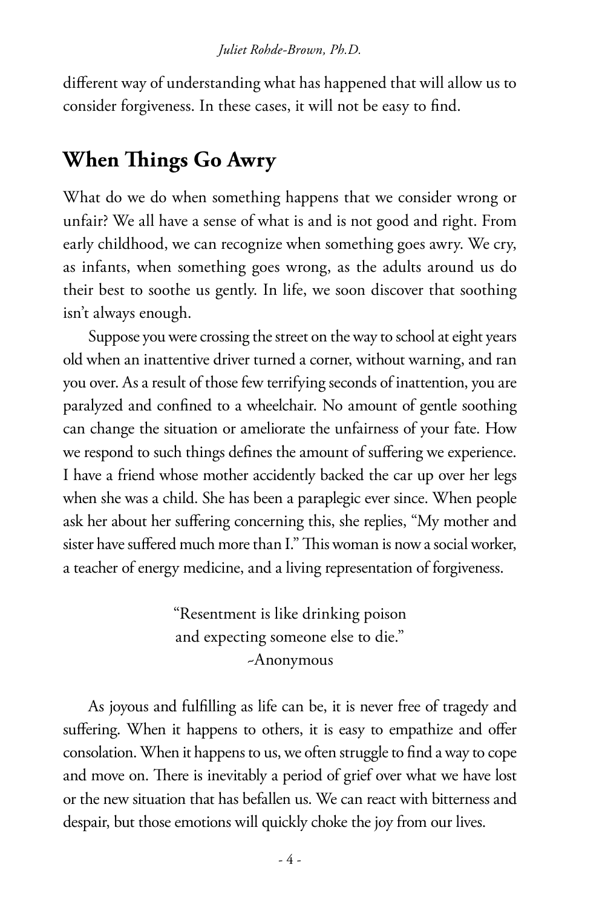different way of understanding what has happened that will allow us to consider forgiveness. In these cases, it will not be easy to find.

## **When Things Go Awry**

What do we do when something happens that we consider wrong or unfair? We all have a sense of what is and is not good and right. From early childhood, we can recognize when something goes awry. We cry, as infants, when something goes wrong, as the adults around us do their best to soothe us gently. In life, we soon discover that soothing isn't always enough.

Suppose you were crossing the street on the way to school at eight years old when an inattentive driver turned a corner, without warning, and ran you over. As a result of those few terrifying seconds of inattention, you are paralyzed and confined to a wheelchair. No amount of gentle soothing can change the situation or ameliorate the unfairness of your fate. How we respond to such things defines the amount of suffering we experience. I have a friend whose mother accidently backed the car up over her legs when she was a child. She has been a paraplegic ever since. When people ask her about her suffering concerning this, she replies, "My mother and sister have suffered much more than I." This woman is now a social worker, a teacher of energy medicine, and a living representation of forgiveness.

> "Resentment is like drinking poison and expecting someone else to die." ~Anonymous

As joyous and fulfilling as life can be, it is never free of tragedy and suffering. When it happens to others, it is easy to empathize and offer consolation. When it happens to us, we often struggle to find a way to cope and move on. There is inevitably a period of grief over what we have lost or the new situation that has befallen us. We can react with bitterness and despair, but those emotions will quickly choke the joy from our lives.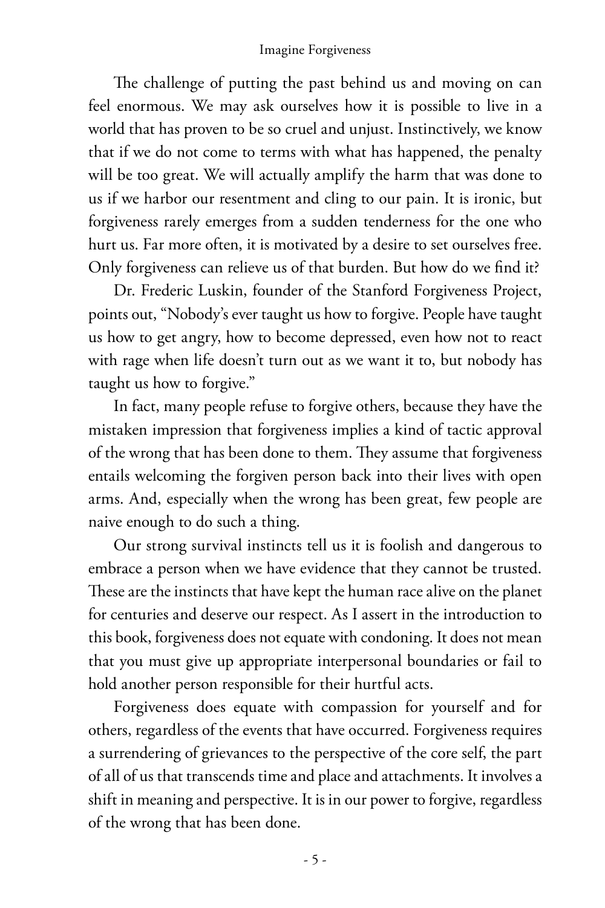The challenge of putting the past behind us and moving on can feel enormous. We may ask ourselves how it is possible to live in a world that has proven to be so cruel and unjust. Instinctively, we know that if we do not come to terms with what has happened, the penalty will be too great. We will actually amplify the harm that was done to us if we harbor our resentment and cling to our pain. It is ironic, but forgiveness rarely emerges from a sudden tenderness for the one who hurt us. Far more often, it is motivated by a desire to set ourselves free. Only forgiveness can relieve us of that burden. But how do we find it?

Dr. Frederic Luskin, founder of the Stanford Forgiveness Project, points out, "Nobody's ever taught us how to forgive. People have taught us how to get angry, how to become depressed, even how not to react with rage when life doesn't turn out as we want it to, but nobody has taught us how to forgive."

In fact, many people refuse to forgive others, because they have the mistaken impression that forgiveness implies a kind of tactic approval of the wrong that has been done to them. They assume that forgiveness entails welcoming the forgiven person back into their lives with open arms. And, especially when the wrong has been great, few people are naive enough to do such a thing.

Our strong survival instincts tell us it is foolish and dangerous to embrace a person when we have evidence that they cannot be trusted. These are the instincts that have kept the human race alive on the planet for centuries and deserve our respect. As I assert in the introduction to this book, forgiveness does not equate with condoning. It does not mean that you must give up appropriate interpersonal boundaries or fail to hold another person responsible for their hurtful acts.

Forgiveness does equate with compassion for yourself and for others, regardless of the events that have occurred. Forgiveness requires a surrendering of grievances to the perspective of the core self, the part of all of us that transcends time and place and attachments. It involves a shift in meaning and perspective. It is in our power to forgive, regardless of the wrong that has been done.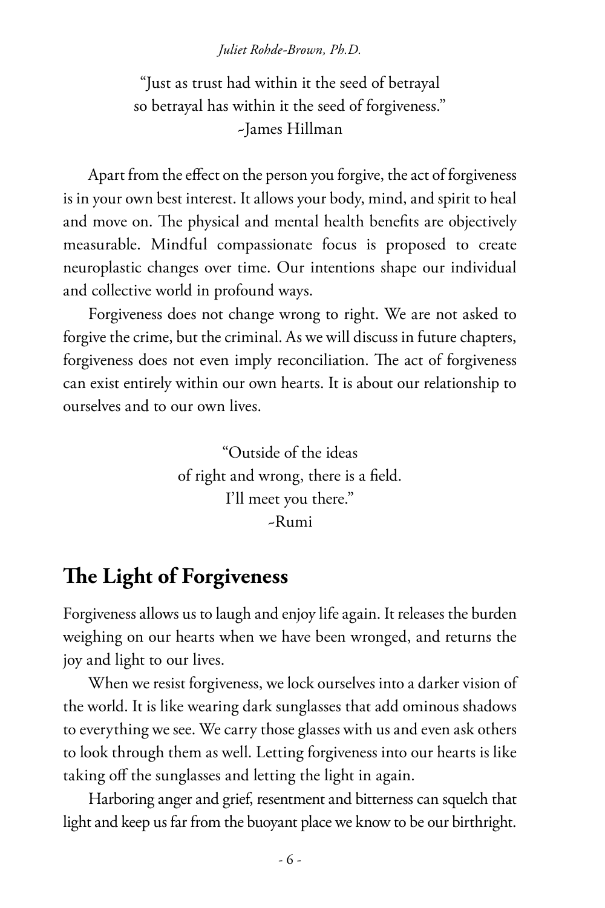#### *Juliet Rohde-Brown, Ph.D.*

"Just as trust had within it the seed of betrayal so betrayal has within it the seed of forgiveness." ~James Hillman

Apart from the effect on the person you forgive, the act of forgiveness is in your own best interest. It allows your body, mind, and spirit to heal and move on. The physical and mental health benefits are objectively measurable. Mindful compassionate focus is proposed to create neuroplastic changes over time. Our intentions shape our individual and collective world in profound ways.

Forgiveness does not change wrong to right. We are not asked to forgive the crime, but the criminal. As we will discuss in future chapters, forgiveness does not even imply reconciliation. The act of forgiveness can exist entirely within our own hearts. It is about our relationship to ourselves and to our own lives.

> "Outside of the ideas of right and wrong, there is a field. I'll meet you there." ~Rumi

### **The Light of Forgiveness**

Forgiveness allows us to laugh and enjoy life again. It releases the burden weighing on our hearts when we have been wronged, and returns the joy and light to our lives.

When we resist forgiveness, we lock ourselves into a darker vision of the world. It is like wearing dark sunglasses that add ominous shadows to everything we see. We carry those glasses with us and even ask others to look through them as well. Letting forgiveness into our hearts is like taking off the sunglasses and letting the light in again.

Harboring anger and grief, resentment and bitterness can squelch that light and keep us far from the buoyant place we know to be our birthright.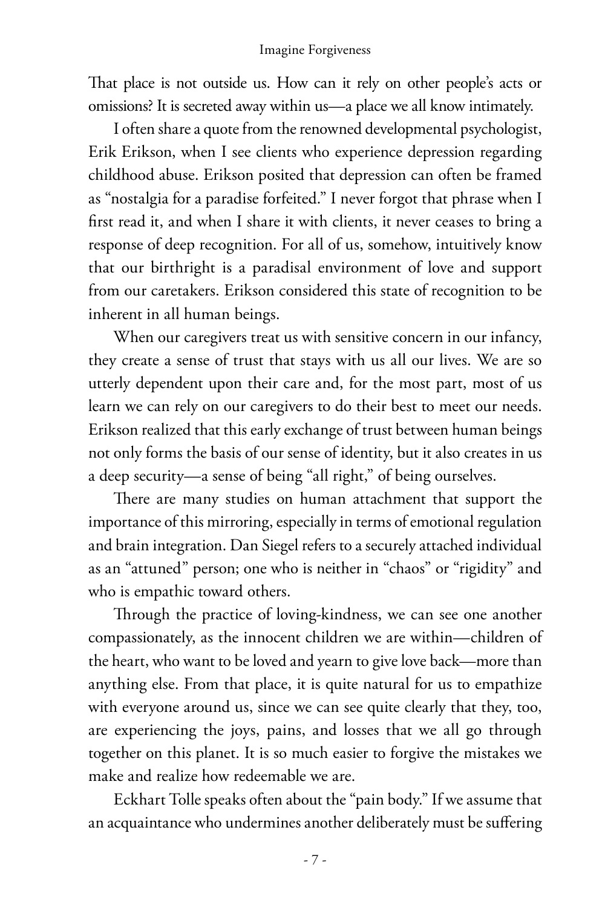That place is not outside us. How can it rely on other people's acts or omissions? It is secreted away within us—a place we all know intimately.

I often share a quote from the renowned developmental psychologist, Erik Erikson, when I see clients who experience depression regarding childhood abuse. Erikson posited that depression can often be framed as "nostalgia for a paradise forfeited." I never forgot that phrase when I first read it, and when I share it with clients, it never ceases to bring a response of deep recognition. For all of us, somehow, intuitively know that our birthright is a paradisal environment of love and support from our caretakers. Erikson considered this state of recognition to be inherent in all human beings.

When our caregivers treat us with sensitive concern in our infancy, they create a sense of trust that stays with us all our lives. We are so utterly dependent upon their care and, for the most part, most of us learn we can rely on our caregivers to do their best to meet our needs. Erikson realized that this early exchange of trust between human beings not only forms the basis of our sense of identity, but it also creates in us a deep security—a sense of being "all right," of being ourselves.

There are many studies on human attachment that support the importance of this mirroring, especially in terms of emotional regulation and brain integration. Dan Siegel refers to a securely attached individual as an "attuned" person; one who is neither in "chaos" or "rigidity" and who is empathic toward others.

Through the practice of loving-kindness, we can see one another compassionately, as the innocent children we are within—children of the heart, who want to be loved and yearn to give love back—more than anything else. From that place, it is quite natural for us to empathize with everyone around us, since we can see quite clearly that they, too, are experiencing the joys, pains, and losses that we all go through together on this planet. It is so much easier to forgive the mistakes we make and realize how redeemable we are.

Eckhart Tolle speaks often about the "pain body." If we assume that an acquaintance who undermines another deliberately must be suffering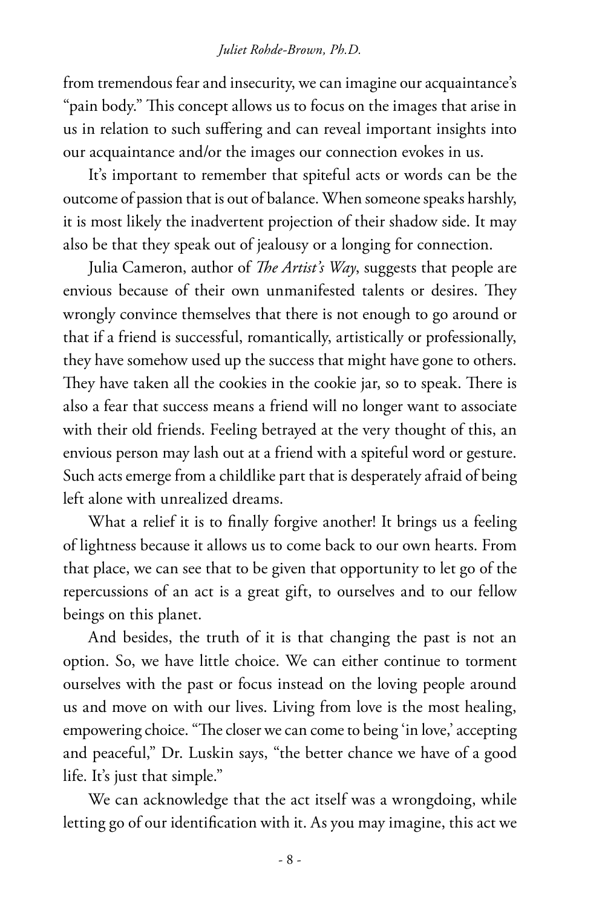#### *Juliet Rohde-Brown, Ph.D.*

from tremendous fear and insecurity, we can imagine our acquaintance's "pain body." This concept allows us to focus on the images that arise in us in relation to such suffering and can reveal important insights into our acquaintance and/or the images our connection evokes in us.

It's important to remember that spiteful acts or words can be the outcome of passion that is out of balance. When someone speaks harshly, it is most likely the inadvertent projection of their shadow side. It may also be that they speak out of jealousy or a longing for connection.

Julia Cameron, author of *The Artist's Way*, suggests that people are envious because of their own unmanifested talents or desires. They wrongly convince themselves that there is not enough to go around or that if a friend is successful, romantically, artistically or professionally, they have somehow used up the success that might have gone to others. They have taken all the cookies in the cookie jar, so to speak. There is also a fear that success means a friend will no longer want to associate with their old friends. Feeling betrayed at the very thought of this, an envious person may lash out at a friend with a spiteful word or gesture. Such acts emerge from a childlike part that is desperately afraid of being left alone with unrealized dreams.

What a relief it is to finally forgive another! It brings us a feeling of lightness because it allows us to come back to our own hearts. From that place, we can see that to be given that opportunity to let go of the repercussions of an act is a great gift, to ourselves and to our fellow beings on this planet.

And besides, the truth of it is that changing the past is not an option. So, we have little choice. We can either continue to torment ourselves with the past or focus instead on the loving people around us and move on with our lives. Living from love is the most healing, empowering choice. "The closer we can come to being 'in love,' accepting and peaceful," Dr. Luskin says, "the better chance we have of a good life. It's just that simple."

We can acknowledge that the act itself was a wrongdoing, while letting go of our identification with it. As you may imagine, this act we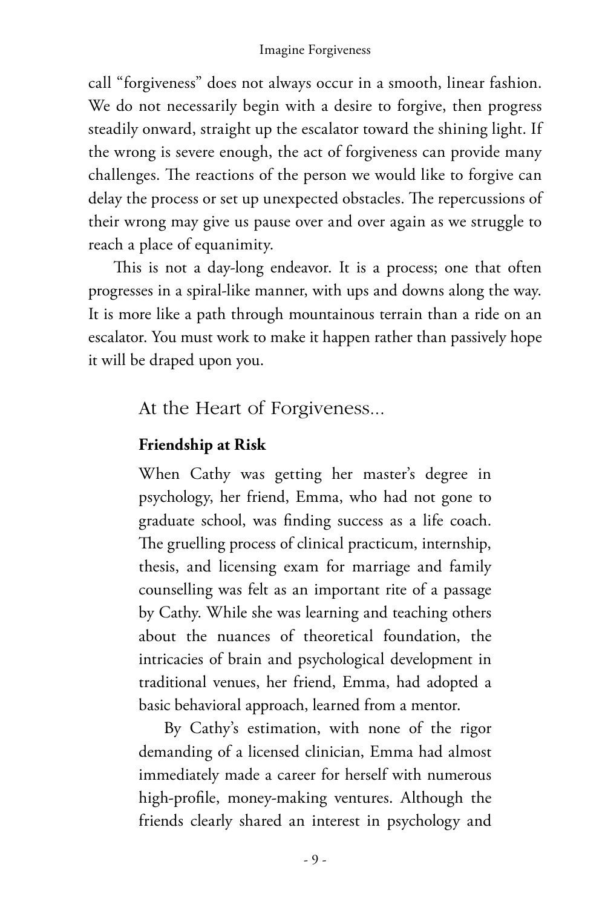call "forgiveness" does not always occur in a smooth, linear fashion. We do not necessarily begin with a desire to forgive, then progress steadily onward, straight up the escalator toward the shining light. If the wrong is severe enough, the act of forgiveness can provide many challenges. The reactions of the person we would like to forgive can delay the process or set up unexpected obstacles. The repercussions of their wrong may give us pause over and over again as we struggle to reach a place of equanimity.

This is not a day-long endeavor. It is a process; one that often progresses in a spiral-like manner, with ups and downs along the way. It is more like a path through mountainous terrain than a ride on an escalator. You must work to make it happen rather than passively hope it will be draped upon you.

At the Heart of Forgiveness...

#### **Friendship at Risk**

When Cathy was getting her master's degree in psychology, her friend, Emma, who had not gone to graduate school, was finding success as a life coach. The gruelling process of clinical practicum, internship, thesis, and licensing exam for marriage and family counselling was felt as an important rite of a passage by Cathy. While she was learning and teaching others about the nuances of theoretical foundation, the intricacies of brain and psychological development in traditional venues, her friend, Emma, had adopted a basic behavioral approach, learned from a mentor.

By Cathy's estimation, with none of the rigor demanding of a licensed clinician, Emma had almost immediately made a career for herself with numerous high-profile, money-making ventures. Although the friends clearly shared an interest in psychology and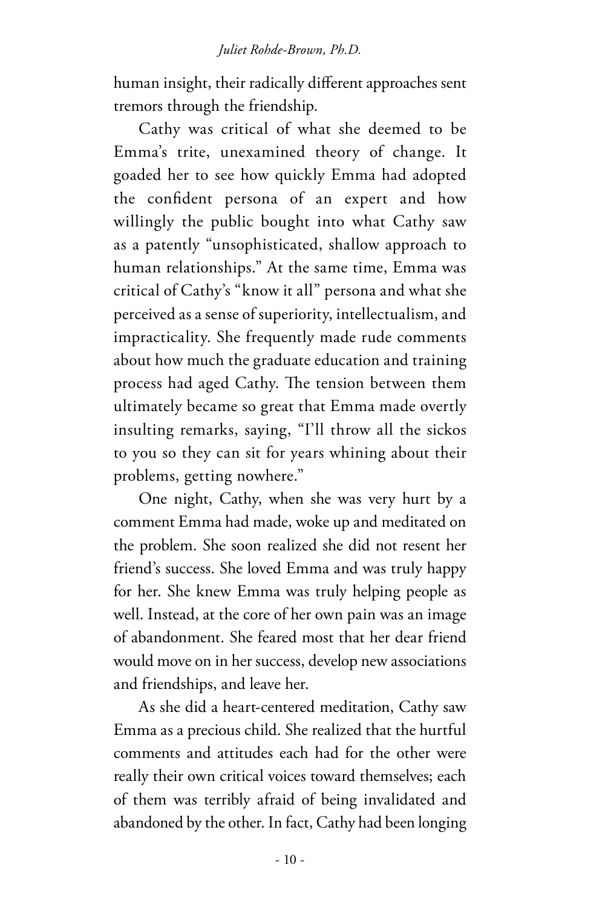human insight, their radically different approaches sent tremors through the friendship.

Cathy was critical of what she deemed to be Emma's trite, unexamined theory of change. It goaded her to see how quickly Emma had adopted the confident persona of an expert and how willingly the public bought into what Cathy saw as a patently "unsophisticated, shallow approach to human relationships." At the same time, Emma was critical of Cathy's "know it all" persona and what she perceived as a sense of superiority, intellectualism, and impracticality. She frequently made rude comments about how much the graduate education and training process had aged Cathy. The tension between them ultimately became so great that Emma made overtly insulting remarks, saying, "I'll throw all the sickos to you so they can sit for years whining about their problems, getting nowhere."

One night, Cathy, when she was very hurt by a comment Emma had made, woke up and meditated on the problem. She soon realized she did not resent her friend's success. She loved Emma and was truly happy for her. She knew Emma was truly helping people as well. Instead, at the core of her own pain was an image of abandonment. She feared most that her dear friend would move on in her success, develop new associations and friendships, and leave her.

As she did a heart-centered meditation, Cathy saw Emma as a precious child. She realized that the hurtful comments and attitudes each had for the other were really their own critical voices toward themselves; each of them was terribly afraid of being invalidated and abandoned by the other. In fact, Cathy had been longing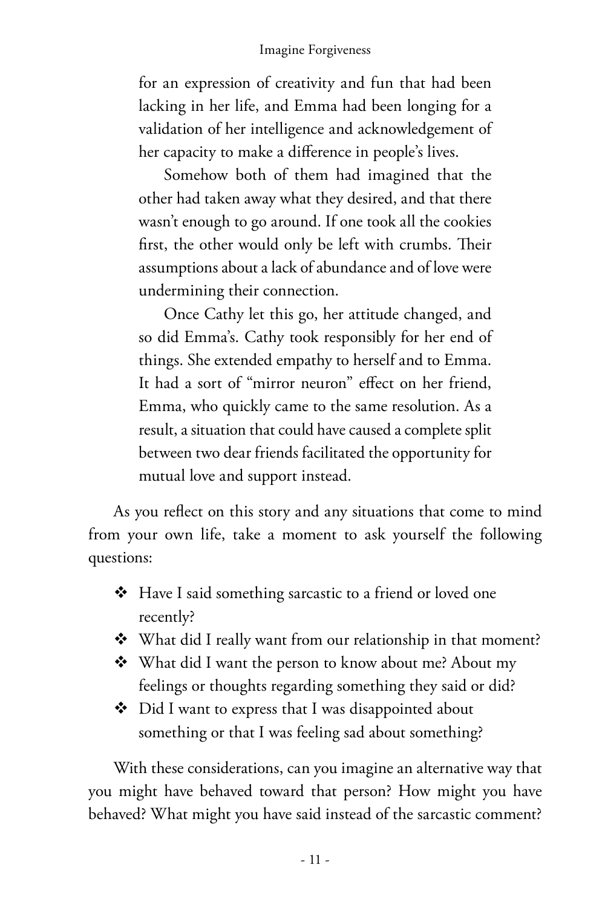for an expression of creativity and fun that had been lacking in her life, and Emma had been longing for a validation of her intelligence and acknowledgement of her capacity to make a difference in people's lives.

Somehow both of them had imagined that the other had taken away what they desired, and that there wasn't enough to go around. If one took all the cookies first, the other would only be left with crumbs. Their assumptions about a lack of abundance and of love were undermining their connection.

Once Cathy let this go, her attitude changed, and so did Emma's. Cathy took responsibly for her end of things. She extended empathy to herself and to Emma. It had a sort of "mirror neuron" effect on her friend, Emma, who quickly came to the same resolution. As a result, a situation that could have caused a complete split between two dear friends facilitated the opportunity for mutual love and support instead.

As you reflect on this story and any situations that come to mind from your own life, take a moment to ask yourself the following questions:

- Have I said something sarcastic to a friend or loved one recently?
- What did I really want from our relationship in that moment?
- ❖ What did I want the person to know about me? About my feelings or thoughts regarding something they said or did?
- ◆ Did I want to express that I was disappointed about something or that I was feeling sad about something?

With these considerations, can you imagine an alternative way that you might have behaved toward that person? How might you have behaved? What might you have said instead of the sarcastic comment?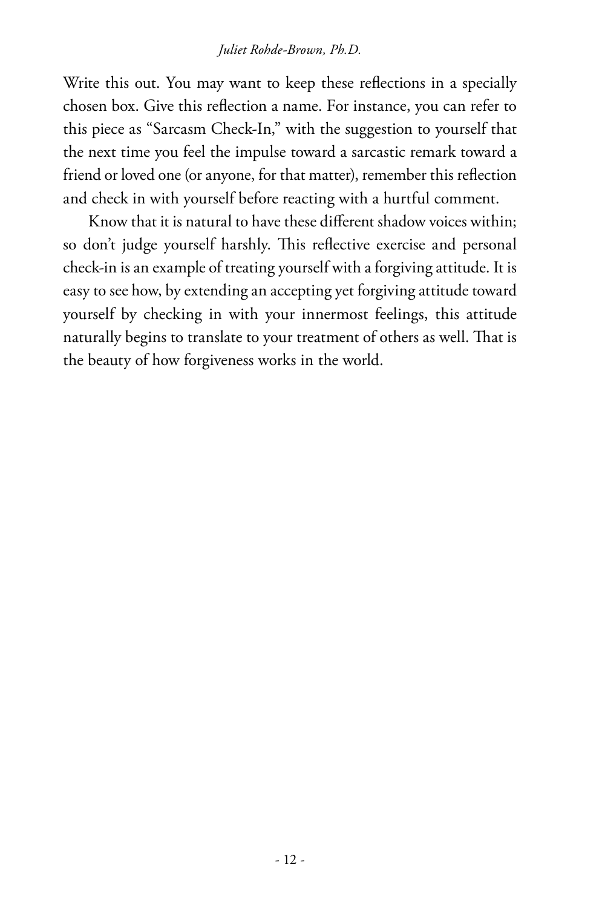#### *Juliet Rohde-Brown, Ph.D.*

Write this out. You may want to keep these reflections in a specially chosen box. Give this reflection a name. For instance, you can refer to this piece as "Sarcasm Check-In," with the suggestion to yourself that the next time you feel the impulse toward a sarcastic remark toward a friend or loved one (or anyone, for that matter), remember this reflection and check in with yourself before reacting with a hurtful comment.

Know that it is natural to have these different shadow voices within; so don't judge yourself harshly. This reflective exercise and personal check-in is an example of treating yourself with a forgiving attitude. It is easy to see how, by extending an accepting yet forgiving attitude toward yourself by checking in with your innermost feelings, this attitude naturally begins to translate to your treatment of others as well. That is the beauty of how forgiveness works in the world.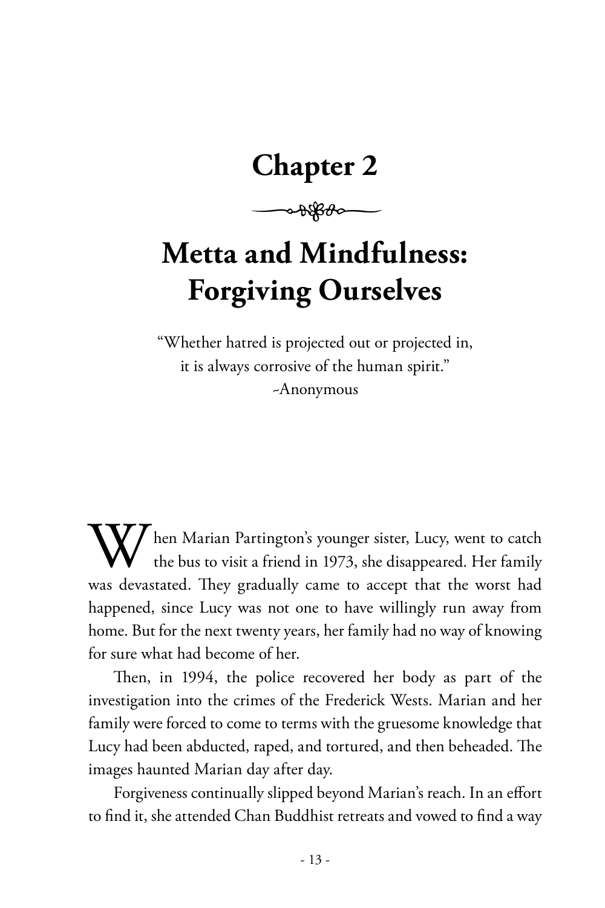# **Chapter 2**

 $\rightarrow\frac{1}{2}$ 

# **Metta and Mindfulness: Forgiving Ourselves**

"Whether hatred is projected out or projected in, it is always corrosive of the human spirit." ~Anonymous

I hen Marian Partington's younger sister, Lucy, went to catch the bus to visit a friend in 1973, she disappeared. Her family was devastated. They gradually came to accept that the worst had happened, since Lucy was not one to have willingly run away from home. But for the next twenty years, her family had no way of knowing for sure what had become of her.

Then, in 1994, the police recovered her body as part of the investigation into the crimes of the Frederick Wests. Marian and her family were forced to come to terms with the gruesome knowledge that Lucy had been abducted, raped, and tortured, and then beheaded. The images haunted Marian day after day.

Forgiveness continually slipped beyond Marian's reach. In an effort to find it, she attended Chan Buddhist retreats and vowed to find a way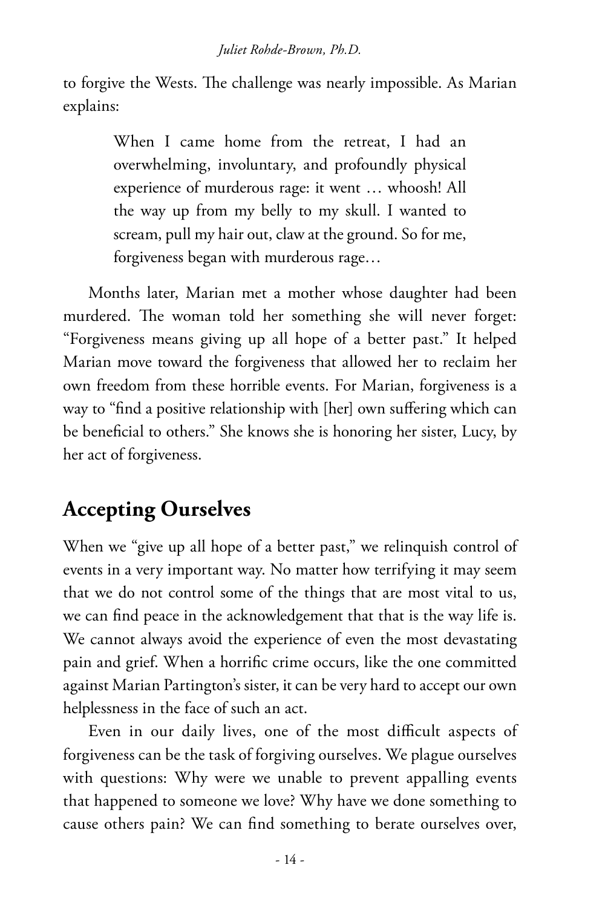to forgive the Wests. The challenge was nearly impossible. As Marian explains:

> When I came home from the retreat, I had an overwhelming, involuntary, and profoundly physical experience of murderous rage: it went … whoosh! All the way up from my belly to my skull. I wanted to scream, pull my hair out, claw at the ground. So for me, forgiveness began with murderous rage…

Months later, Marian met a mother whose daughter had been murdered. The woman told her something she will never forget: "Forgiveness means giving up all hope of a better past." It helped Marian move toward the forgiveness that allowed her to reclaim her own freedom from these horrible events. For Marian, forgiveness is a way to "find a positive relationship with [her] own suffering which can be beneficial to others." She knows she is honoring her sister, Lucy, by her act of forgiveness.

## **Accepting Ourselves**

When we "give up all hope of a better past," we relinquish control of events in a very important way. No matter how terrifying it may seem that we do not control some of the things that are most vital to us, we can find peace in the acknowledgement that that is the way life is. We cannot always avoid the experience of even the most devastating pain and grief. When a horrific crime occurs, like the one committed against Marian Partington's sister, it can be very hard to accept our own helplessness in the face of such an act.

Even in our daily lives, one of the most difficult aspects of forgiveness can be the task of forgiving ourselves. We plague ourselves with questions: Why were we unable to prevent appalling events that happened to someone we love? Why have we done something to cause others pain? We can find something to berate ourselves over,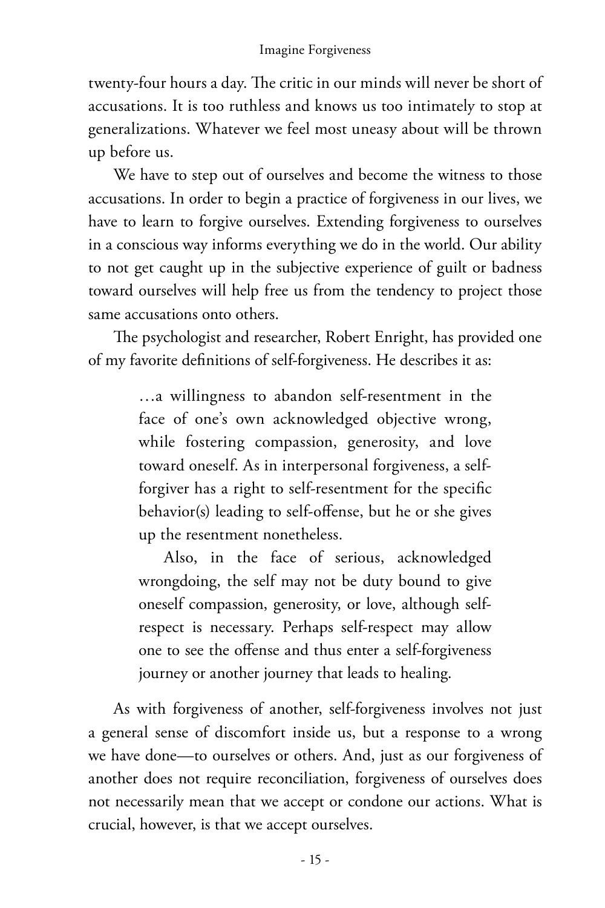twenty-four hours a day. The critic in our minds will never be short of accusations. It is too ruthless and knows us too intimately to stop at generalizations. Whatever we feel most uneasy about will be thrown up before us.

We have to step out of ourselves and become the witness to those accusations. In order to begin a practice of forgiveness in our lives, we have to learn to forgive ourselves. Extending forgiveness to ourselves in a conscious way informs everything we do in the world. Our ability to not get caught up in the subjective experience of guilt or badness toward ourselves will help free us from the tendency to project those same accusations onto others.

The psychologist and researcher, Robert Enright, has provided one of my favorite definitions of self-forgiveness. He describes it as:

> …a willingness to abandon self-resentment in the face of one's own acknowledged objective wrong, while fostering compassion, generosity, and love toward oneself. As in interpersonal forgiveness, a selfforgiver has a right to self-resentment for the specific behavior(s) leading to self-offense, but he or she gives up the resentment nonetheless.

> Also, in the face of serious, acknowledged wrongdoing, the self may not be duty bound to give oneself compassion, generosity, or love, although selfrespect is necessary. Perhaps self-respect may allow one to see the offense and thus enter a self-forgiveness journey or another journey that leads to healing.

As with forgiveness of another, self-forgiveness involves not just a general sense of discomfort inside us, but a response to a wrong we have done—to ourselves or others. And, just as our forgiveness of another does not require reconciliation, forgiveness of ourselves does not necessarily mean that we accept or condone our actions. What is crucial, however, is that we accept ourselves.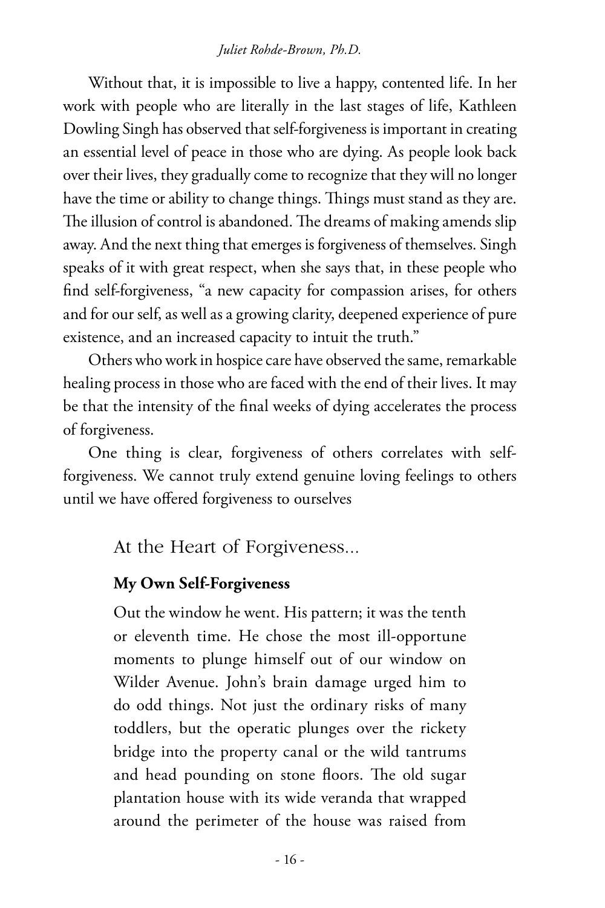#### *Juliet Rohde-Brown, Ph.D.*

Without that, it is impossible to live a happy, contented life. In her work with people who are literally in the last stages of life, Kathleen Dowling Singh has observed that self-forgiveness is important in creating an essential level of peace in those who are dying. As people look back over their lives, they gradually come to recognize that they will no longer have the time or ability to change things. Things must stand as they are. The illusion of control is abandoned. The dreams of making amends slip away. And the next thing that emerges is forgiveness of themselves. Singh speaks of it with great respect, when she says that, in these people who find self-forgiveness, "a new capacity for compassion arises, for others and for our self, as well as a growing clarity, deepened experience of pure existence, and an increased capacity to intuit the truth."

Others who work in hospice care have observed the same, remarkable healing process in those who are faced with the end of their lives. It may be that the intensity of the final weeks of dying accelerates the process of forgiveness.

One thing is clear, forgiveness of others correlates with selfforgiveness. We cannot truly extend genuine loving feelings to others until we have offered forgiveness to ourselves

At the Heart of Forgiveness...

#### **My Own Self-Forgiveness**

Out the window he went. His pattern; it was the tenth or eleventh time. He chose the most ill-opportune moments to plunge himself out of our window on Wilder Avenue. John's brain damage urged him to do odd things. Not just the ordinary risks of many toddlers, but the operatic plunges over the rickety bridge into the property canal or the wild tantrums and head pounding on stone floors. The old sugar plantation house with its wide veranda that wrapped around the perimeter of the house was raised from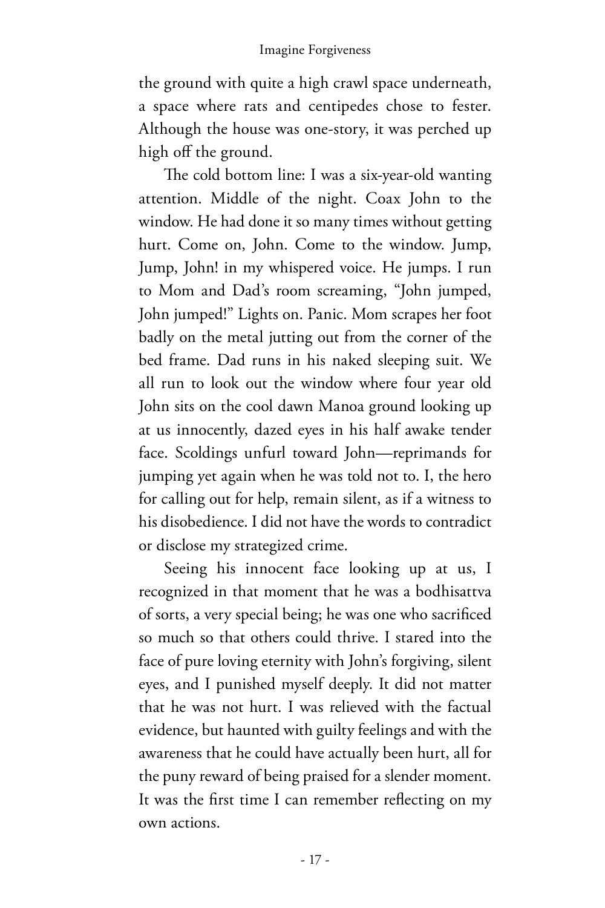the ground with quite a high crawl space underneath, a space where rats and centipedes chose to fester. Although the house was one-story, it was perched up high off the ground.

The cold bottom line: I was a six-year-old wanting attention. Middle of the night. Coax John to the window. He had done it so many times without getting hurt. Come on, John. Come to the window. Jump, Jump, John! in my whispered voice. He jumps. I run to Mom and Dad's room screaming, "John jumped, John jumped!" Lights on. Panic. Mom scrapes her foot badly on the metal jutting out from the corner of the bed frame. Dad runs in his naked sleeping suit. We all run to look out the window where four year old John sits on the cool dawn Manoa ground looking up at us innocently, dazed eyes in his half awake tender face. Scoldings unfurl toward John—reprimands for jumping yet again when he was told not to. I, the hero for calling out for help, remain silent, as if a witness to his disobedience. I did not have the words to contradict or disclose my strategized crime.

Seeing his innocent face looking up at us, I recognized in that moment that he was a bodhisattva of sorts, a very special being; he was one who sacrificed so much so that others could thrive. I stared into the face of pure loving eternity with John's forgiving, silent eyes, and I punished myself deeply. It did not matter that he was not hurt. I was relieved with the factual evidence, but haunted with guilty feelings and with the awareness that he could have actually been hurt, all for the puny reward of being praised for a slender moment. It was the first time I can remember reflecting on my own actions.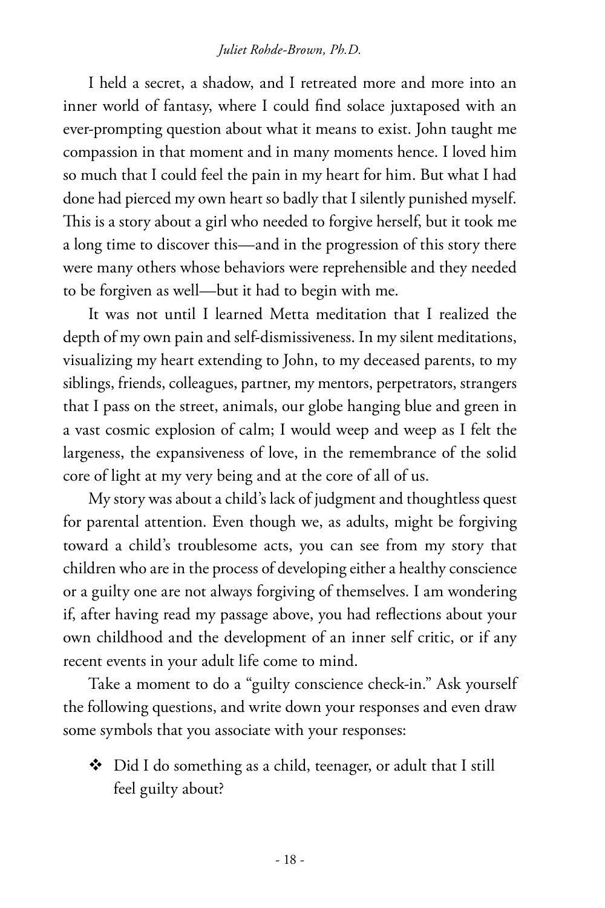#### *Juliet Rohde-Brown, Ph.D.*

I held a secret, a shadow, and I retreated more and more into an inner world of fantasy, where I could find solace juxtaposed with an ever-prompting question about what it means to exist. John taught me compassion in that moment and in many moments hence. I loved him so much that I could feel the pain in my heart for him. But what I had done had pierced my own heart so badly that I silently punished myself. This is a story about a girl who needed to forgive herself, but it took me a long time to discover this—and in the progression of this story there were many others whose behaviors were reprehensible and they needed to be forgiven as well—but it had to begin with me.

It was not until I learned Metta meditation that I realized the depth of my own pain and self-dismissiveness. In my silent meditations, visualizing my heart extending to John, to my deceased parents, to my siblings, friends, colleagues, partner, my mentors, perpetrators, strangers that I pass on the street, animals, our globe hanging blue and green in a vast cosmic explosion of calm; I would weep and weep as I felt the largeness, the expansiveness of love, in the remembrance of the solid core of light at my very being and at the core of all of us.

My story was about a child's lack of judgment and thoughtless quest for parental attention. Even though we, as adults, might be forgiving toward a child's troublesome acts, you can see from my story that children who are in the process of developing either a healthy conscience or a guilty one are not always forgiving of themselves. I am wondering if, after having read my passage above, you had reflections about your own childhood and the development of an inner self critic, or if any recent events in your adult life come to mind.

Take a moment to do a "guilty conscience check-in." Ask yourself the following questions, and write down your responses and even draw some symbols that you associate with your responses:

◆ Did I do something as a child, teenager, or adult that I still feel guilty about?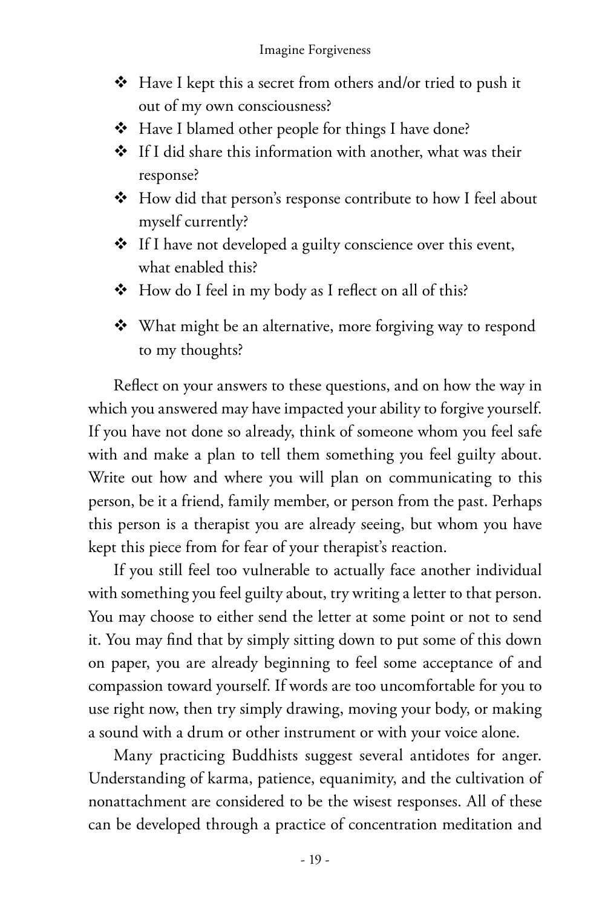- $\triangleleft$  Have I kept this a secret from others and/or tried to push it out of my own consciousness?
- Have I blamed other people for things I have done?
- If I did share this information with another, what was their response?
- ◆ How did that person's response contribute to how I feel about myself currently?
- **❖** If I have not developed a guilty conscience over this event, what enabled this?
- $\triangleleft$  How do I feel in my body as I reflect on all of this?
- What might be an alternative, more forgiving way to respond to my thoughts?

Reflect on your answers to these questions, and on how the way in which you answered may have impacted your ability to forgive yourself. If you have not done so already, think of someone whom you feel safe with and make a plan to tell them something you feel guilty about. Write out how and where you will plan on communicating to this person, be it a friend, family member, or person from the past. Perhaps this person is a therapist you are already seeing, but whom you have kept this piece from for fear of your therapist's reaction.

If you still feel too vulnerable to actually face another individual with something you feel guilty about, try writing a letter to that person. You may choose to either send the letter at some point or not to send it. You may find that by simply sitting down to put some of this down on paper, you are already beginning to feel some acceptance of and compassion toward yourself. If words are too uncomfortable for you to use right now, then try simply drawing, moving your body, or making a sound with a drum or other instrument or with your voice alone.

Many practicing Buddhists suggest several antidotes for anger. Understanding of karma, patience, equanimity, and the cultivation of nonattachment are considered to be the wisest responses. All of these can be developed through a practice of concentration meditation and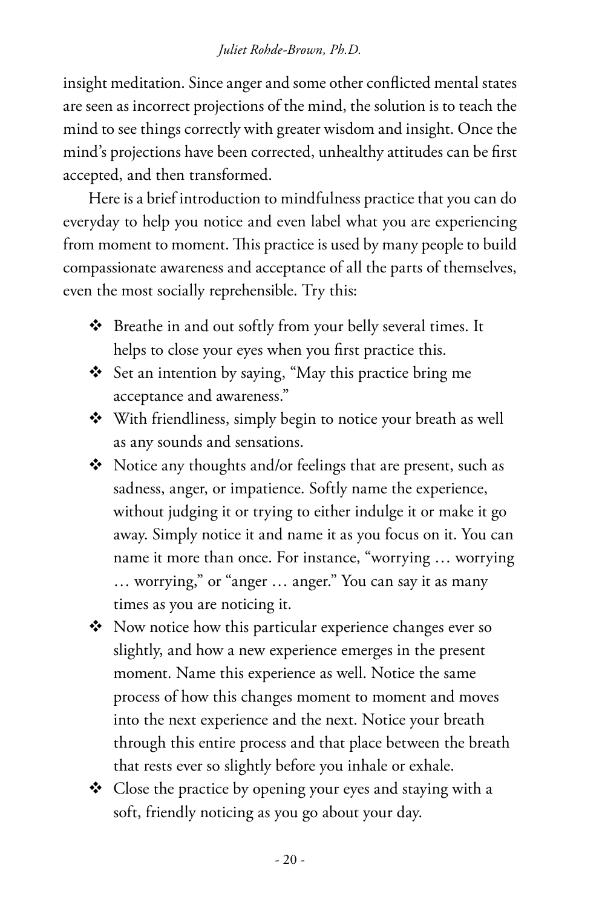#### *Juliet Rohde-Brown, Ph.D.*

insight meditation. Since anger and some other conflicted mental states are seen as incorrect projections of the mind, the solution is to teach the mind to see things correctly with greater wisdom and insight. Once the mind's projections have been corrected, unhealthy attitudes can be first accepted, and then transformed.

Here is a brief introduction to mindfulness practice that you can do everyday to help you notice and even label what you are experiencing from moment to moment. This practice is used by many people to build compassionate awareness and acceptance of all the parts of themselves, even the most socially reprehensible. Try this:

- Breathe in and out softly from your belly several times. It helps to close your eyes when you first practice this.
- Set an intention by saying, "May this practice bring me acceptance and awareness."
- With friendliness, simply begin to notice your breath as well as any sounds and sensations.
- $\triangleleft$  Notice any thoughts and/or feelings that are present, such as sadness, anger, or impatience. Softly name the experience, without judging it or trying to either indulge it or make it go away. Simply notice it and name it as you focus on it. You can name it more than once. For instance, "worrying … worrying … worrying," or "anger … anger." You can say it as many times as you are noticing it.
- ◆ Now notice how this particular experience changes ever so slightly, and how a new experience emerges in the present moment. Name this experience as well. Notice the same process of how this changes moment to moment and moves into the next experience and the next. Notice your breath through this entire process and that place between the breath that rests ever so slightly before you inhale or exhale.
- $\triangleleft$  Close the practice by opening your eyes and staying with a soft, friendly noticing as you go about your day.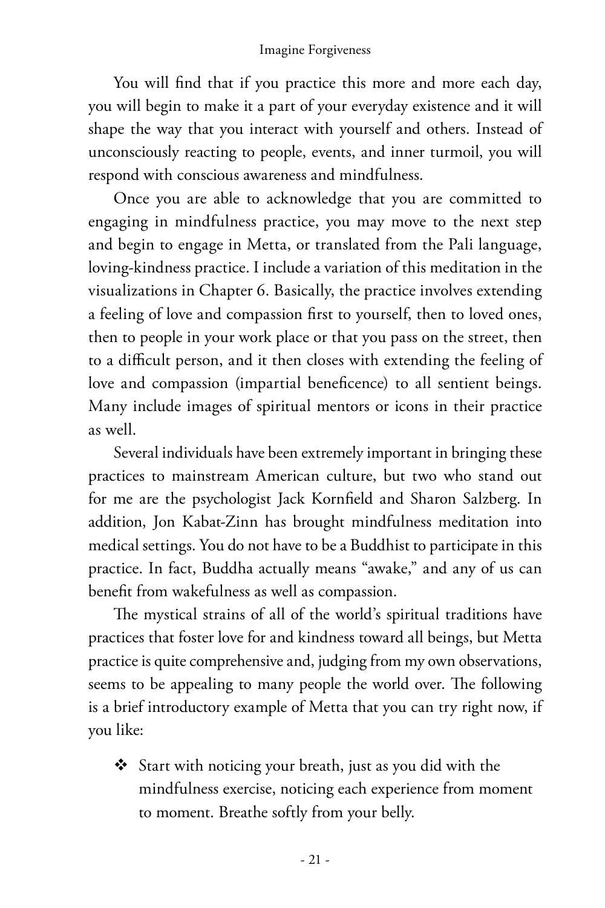You will find that if you practice this more and more each day, you will begin to make it a part of your everyday existence and it will shape the way that you interact with yourself and others. Instead of unconsciously reacting to people, events, and inner turmoil, you will respond with conscious awareness and mindfulness.

Once you are able to acknowledge that you are committed to engaging in mindfulness practice, you may move to the next step and begin to engage in Metta, or translated from the Pali language, loving-kindness practice. I include a variation of this meditation in the visualizations in Chapter 6. Basically, the practice involves extending a feeling of love and compassion first to yourself, then to loved ones, then to people in your work place or that you pass on the street, then to a difficult person, and it then closes with extending the feeling of love and compassion (impartial beneficence) to all sentient beings. Many include images of spiritual mentors or icons in their practice as well.

Several individuals have been extremely important in bringing these practices to mainstream American culture, but two who stand out for me are the psychologist Jack Kornfield and Sharon Salzberg. In addition, Jon Kabat-Zinn has brought mindfulness meditation into medical settings. You do not have to be a Buddhist to participate in this practice. In fact, Buddha actually means "awake," and any of us can benefit from wakefulness as well as compassion.

The mystical strains of all of the world's spiritual traditions have practices that foster love for and kindness toward all beings, but Metta practice is quite comprehensive and, judging from my own observations, seems to be appealing to many people the world over. The following is a brief introductory example of Metta that you can try right now, if you like:

 Start with noticing your breath, just as you did with the mindfulness exercise, noticing each experience from moment to moment. Breathe softly from your belly.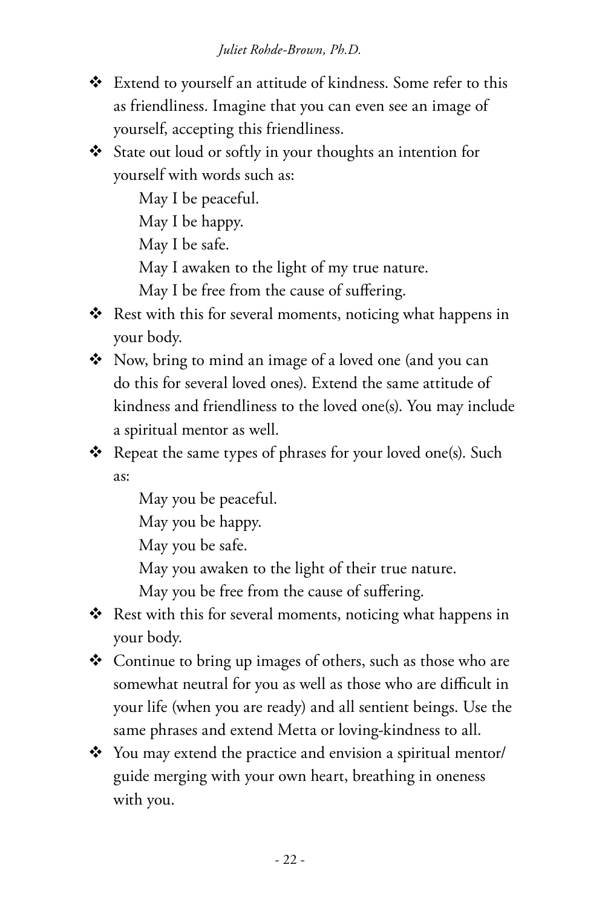- Extend to yourself an attitude of kindness. Some refer to this as friendliness. Imagine that you can even see an image of yourself, accepting this friendliness.
- State out loud or softly in your thoughts an intention for yourself with words such as:

May I be peaceful.

May I be happy.

May I be safe.

May I awaken to the light of my true nature.

May I be free from the cause of suffering.

- $\triangleleft$  Rest with this for several moments, noticing what happens in your body.
- ◆ Now, bring to mind an image of a loved one (and you can do this for several loved ones). Extend the same attitude of kindness and friendliness to the loved one(s). You may include a spiritual mentor as well.
- $\triangleleft$  Repeat the same types of phrases for your loved one(s). Such as:

May you be peaceful.

May you be happy.

May you be safe.

May you awaken to the light of their true nature.

May you be free from the cause of suffering.

- $\triangleleft$  Rest with this for several moments, noticing what happens in your body.
- ◆ Continue to bring up images of others, such as those who are somewhat neutral for you as well as those who are difficult in your life (when you are ready) and all sentient beings. Use the same phrases and extend Metta or loving-kindness to all.
- You may extend the practice and envision a spiritual mentor/ guide merging with your own heart, breathing in oneness with you.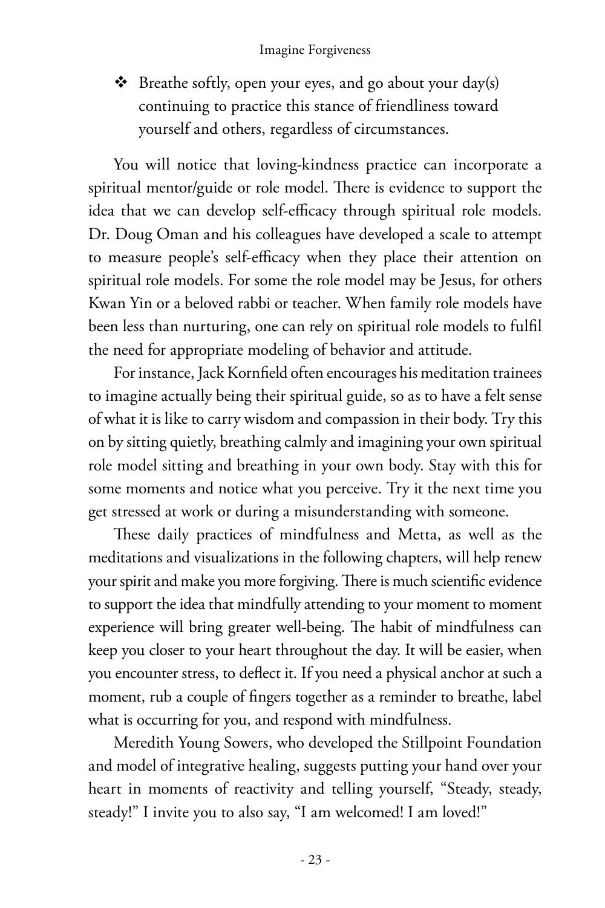$\triangleleft$  Breathe softly, open your eyes, and go about your day(s) continuing to practice this stance of friendliness toward yourself and others, regardless of circumstances.

You will notice that loving-kindness practice can incorporate a spiritual mentor/guide or role model. There is evidence to support the idea that we can develop self-efficacy through spiritual role models. Dr. Doug Oman and his colleagues have developed a scale to attempt to measure people's self-efficacy when they place their attention on spiritual role models. For some the role model may be Jesus, for others Kwan Yin or a beloved rabbi or teacher. When family role models have been less than nurturing, one can rely on spiritual role models to fulfil the need for appropriate modeling of behavior and attitude.

For instance, Jack Kornfield often encourages his meditation trainees to imagine actually being their spiritual guide, so as to have a felt sense of what it is like to carry wisdom and compassion in their body. Try this on by sitting quietly, breathing calmly and imagining your own spiritual role model sitting and breathing in your own body. Stay with this for some moments and notice what you perceive. Try it the next time you get stressed at work or during a misunderstanding with someone.

These daily practices of mindfulness and Metta, as well as the meditations and visualizations in the following chapters, will help renew your spirit and make you more forgiving. There is much scientific evidence to support the idea that mindfully attending to your moment to moment experience will bring greater well-being. The habit of mindfulness can keep you closer to your heart throughout the day. It will be easier, when you encounter stress, to deflect it. If you need a physical anchor at such a moment, rub a couple of fingers together as a reminder to breathe, label what is occurring for you, and respond with mindfulness.

Meredith Young Sowers, who developed the Stillpoint Foundation and model of integrative healing, suggests putting your hand over your heart in moments of reactivity and telling yourself, "Steady, steady, steady!" I invite you to also say, "I am welcomed! I am loved!"